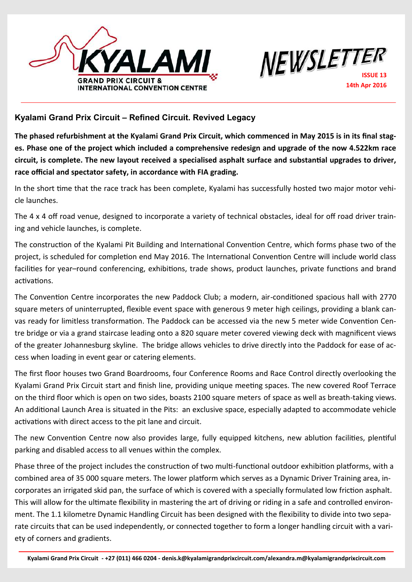



## **Kyalami Grand Prix Circuit – Refined Circuit. Revived Legacy**

**The phased refurbishment at the Kyalami Grand Prix Circuit, which commenced in May 2015 is in its final stages. Phase one of the project which included a comprehensive redesign and upgrade of the now 4.522km race circuit, is complete. The new layout received a specialised asphalt surface and substantial upgrades to driver, race official and spectator safety, in accordance with FIA grading.** 

In the short time that the race track has been complete, Kyalami has successfully hosted two major motor vehicle launches.

The 4 x 4 off road venue, designed to incorporate a variety of technical obstacles, ideal for off road driver training and vehicle launches, is complete.

The construction of the Kyalami Pit Building and International Convention Centre, which forms phase two of the project, is scheduled for completion end May 2016. The International Convention Centre will include world class facilities for year–round conferencing, exhibitions, trade shows, product launches, private functions and brand activations.

The Convention Centre incorporates the new Paddock Club; a modern, air-conditioned spacious hall with 2770 square meters of uninterrupted, flexible event space with generous 9 meter high ceilings, providing a blank canvas ready for limitless transformation. The Paddock can be accessed via the new 5 meter wide Convention Centre bridge or via a grand staircase leading onto a 820 square meter covered viewing deck with magnificent views of the greater Johannesburg skyline. The bridge allows vehicles to drive directly into the Paddock for ease of access when loading in event gear or catering elements.

The first floor houses two Grand Boardrooms, four Conference Rooms and Race Control directly overlooking the Kyalami Grand Prix Circuit start and finish line, providing unique meeting spaces. The new covered Roof Terrace on the third floor which is open on two sides, boasts 2100 square meters of space as well as breath-taking views. An additional Launch Area is situated in the Pits: an exclusive space, especially adapted to accommodate vehicle activations with direct access to the pit lane and circuit.

The new Convention Centre now also provides large, fully equipped kitchens, new ablution facilities, plentiful parking and disabled access to all venues within the complex.

Phase three of the project includes the construction of two multi-functional outdoor exhibition platforms, with a combined area of 35 000 square meters. The lower platform which serves as a Dynamic Driver Training area, incorporates an irrigated skid pan, the surface of which is covered with a specially formulated low friction asphalt. This will allow for the ultimate flexibility in mastering the art of driving or riding in a safe and controlled environment. The 1.1 kilometre Dynamic Handling Circuit has been designed with the flexibility to divide into two separate circuits that can be used independently, or connected together to form a longer handling circuit with a variety of corners and gradients.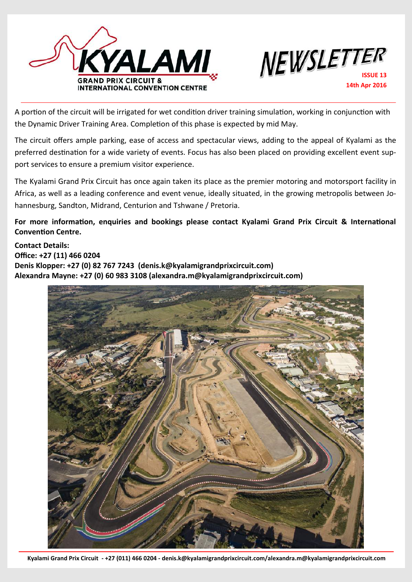



A portion of the circuit will be irrigated for wet condition driver training simulation, working in conjunction with the Dynamic Driver Training Area. Completion of this phase is expected by mid May.

The circuit offers ample parking, ease of access and spectacular views, adding to the appeal of Kyalami as the preferred destination for a wide variety of events. Focus has also been placed on providing excellent event support services to ensure a premium visitor experience.

The Kyalami Grand Prix Circuit has once again taken its place as the premier motoring and motorsport facility in Africa, as well as a leading conference and event venue, ideally situated, in the growing metropolis between Johannesburg, Sandton, Midrand, Centurion and Tshwane / Pretoria.

**For more information, enquiries and bookings please contact Kyalami Grand Prix Circuit & International Convention Centre.**

**Contact Details: Office: +27 (11) 466 0204 Denis Klopper: +27 (0) 82 767 7243 (denis.k@kyalamigrandprixcircuit.com) Alexandra Mayne: +27 (0) 60 983 3108 (alexandra.m@kyalamigrandprixcircuit.com)**

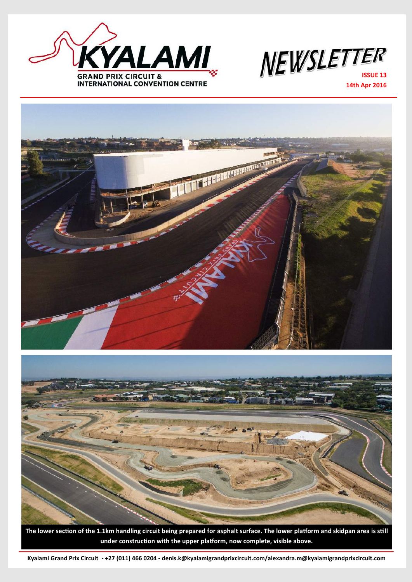



**14th Apr 2016**



The lower section of the 1.1km handling circuit being prepared for asphalt surface. The lower platform and skidpan area is still **under construction with the upper platform, now complete, visible above.**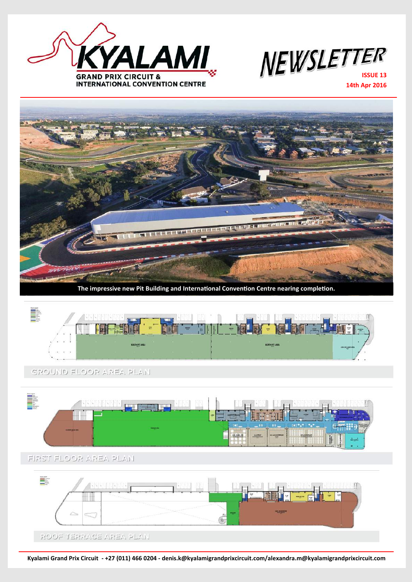

**NEWSLETTER** 

**14th Apr 2016**



**The impressive new Pit Building and International Convention Centre nearing completion.**



GROUND FLOOR AREA PLAN.

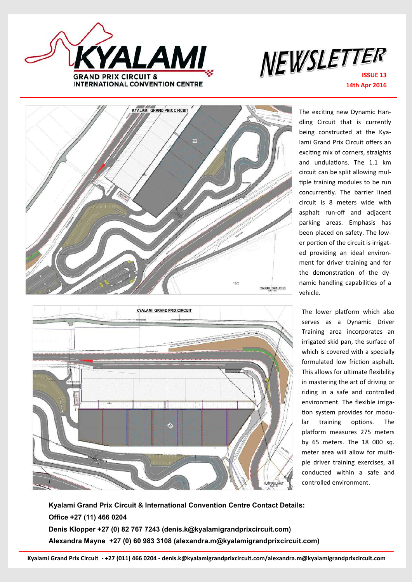

## **NEWSLETTER 14th Apr 2016**



The exciting new Dynamic Handling Circuit that is currently being constructed at the Kyalami Grand Prix Circuit offers an exciting mix of corners, straights and undulations. The 1.1 km circuit can be split allowing multiple training modules to be run concurrently. The barrier lined circuit is 8 meters wide with asphalt run-off and adjacent parking areas. Emphasis has been placed on safety. The lower portion of the circuit is irrigated providing an ideal environment for driver training and for the demonstration of the dynamic handling capabilities of a vehicle.

The lower platform which also serves as a Dynamic Driver Training area incorporates an irrigated skid pan, the surface of which is covered with a specially formulated low friction asphalt. This allows for ultimate flexibility in mastering the art of driving or riding in a safe and controlled environment. The flexible irrigation system provides for modular training options. The platform measures 275 meters by 65 meters. The 18 000 sq. meter area will allow for multiple driver training exercises, all conducted within a safe and controlled environment.

Denis Klopper +27 (0) 82 767 7243 (denis.k@kyalamigrandprixcircuit.com) **Kyalami Grand Prix Circuit & International Convention Centre Contact Details: Office +27 (11) 466 0204 Alexandra Mayne +27 (0) 60 983 3108 (alexandra.m@kyalamigrandprixcircuit.com)**

**Image - Malcolm Sampson**